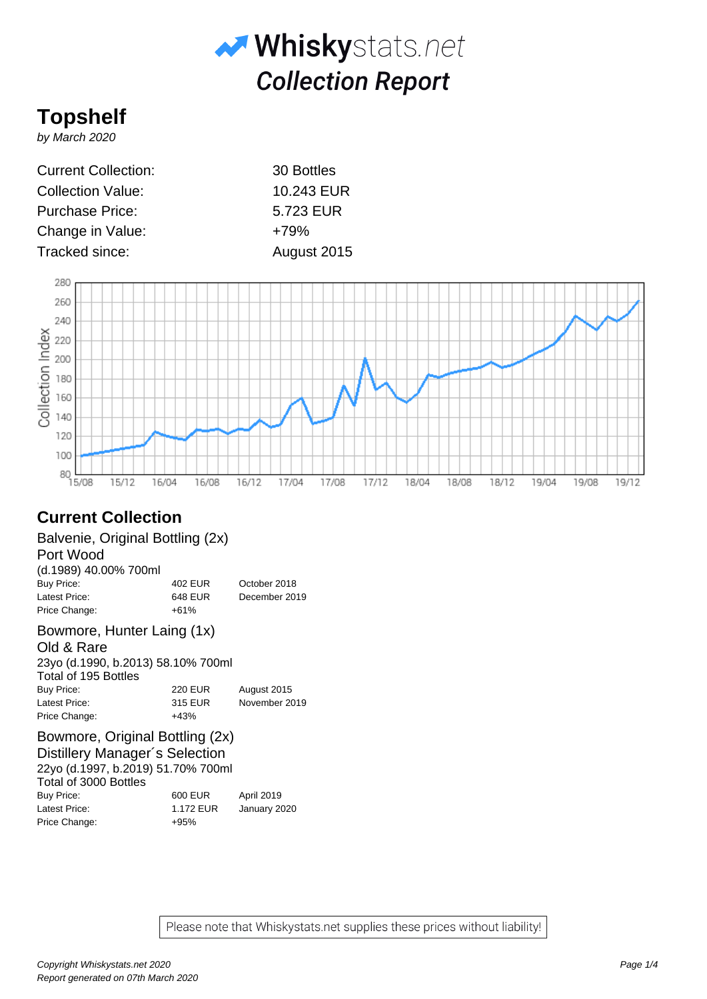

# **Topshelf**

by March 2020

Current Collection: 30 Bottles Collection Value: 10.243 EUR Purchase Price: 5.723 EUR Change in Value:  $+79%$ Tracked since: August 2015



# **Current Collection**

Balvenie, Original Bottling (2x)

Port Wood

(d.1989) 40.00% 700ml Buy Price: 402 EUR October 2018 Latest Price: 648 EUR December 2019 Price Change:  $+61\%$ 

# Bowmore, Hunter Laing (1x)

Old & Rare 23yo (d.1990, b.2013) 58.10% 700ml

| Total of 195 Bottles |                |               |
|----------------------|----------------|---------------|
| Buy Price:           | <b>220 EUR</b> | August 2015   |
| Latest Price:        | 315 EUR        | November 2019 |
| Price Change:        | $+43%$         |               |

# Bowmore, Original Bottling (2x)

Distillery Manager´s Selection 22yo (d.1997, b.2019) 51.70% 700ml Total of 3000 Bottles Buy Price: 600 EUR April 2019 Latest Price: 1.172 EUR January 2020 Price Change: +95%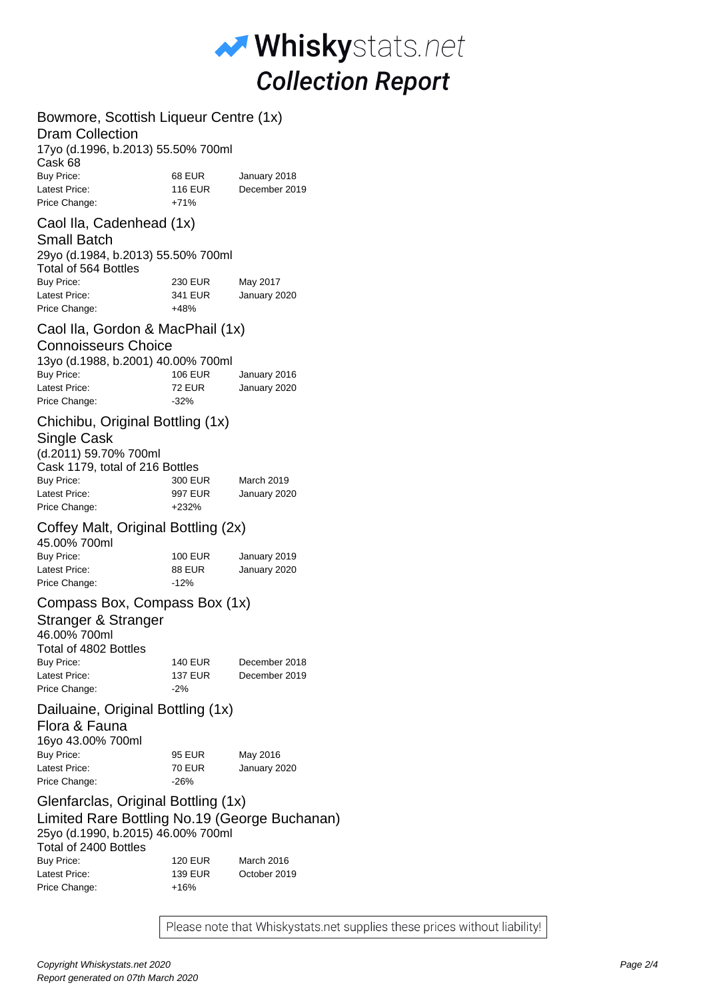

# Bowmore, Scottish Liqueur Centre (1x)

#### Dram Collection

| 17yo (d.1996, b.2013) 55.50% 700ml |               |
|------------------------------------|---------------|
|                                    |               |
| 68 EUR                             | January 2018  |
| <b>116 EUR</b>                     | December 2019 |
| $+71%$                             |               |
|                                    |               |

## Caol Ila, Cadenhead (1x)

#### Small Batch

| 29yo (d.1984, b.2013) 55.50% 700ml<br>Total of 564 Bottles |                |              |
|------------------------------------------------------------|----------------|--------------|
| Buy Price:                                                 | <b>230 EUR</b> | May 2017     |
| Latest Price:                                              | 341 EUR        | January 2020 |
| Price Change:                                              | $+48%$         |              |

#### Caol Ila, Gordon & MacPhail (1x)

#### Connoisseurs Choice

| 13yo (d.1988, b.2001) 40.00% 700ml |         |              |
|------------------------------------|---------|--------------|
| Buy Price:                         | 106 EUR | January 2016 |
| Latest Price:                      | 72 EUR  | January 2020 |
| Price Change:                      | $-32%$  |              |

## Chichibu, Original Bottling (1x)

### Single Cask

| (d.2011) 59.70% 700ml           |         |                   |
|---------------------------------|---------|-------------------|
|                                 |         |                   |
| Cask 1179, total of 216 Bottles |         |                   |
| Buy Price:                      | 300 EUR | <b>March 2019</b> |
| Latest Price:                   | 997 EUR | January 2020      |
| Price Change:                   | $+232%$ |                   |
|                                 |         |                   |

#### Coffey Malt, Original Bottling (2x)

| 45.00% 700ml  |                |              |
|---------------|----------------|--------------|
| Buy Price:    | <b>100 EUR</b> | January 2019 |
| Latest Price: | <b>88 EUR</b>  | January 2020 |
| Price Change: | $-12%$         |              |
|               |                |              |

## Compass Box, Compass Box (1x)

| December 2018 |
|---------------|
| December 2019 |
|               |
|               |

#### Dailuaine, Original Bottling (1x)

# Flora & Fauna

| 16yo 43.00% 700ml |        |              |
|-------------------|--------|--------------|
| Buy Price:        | 95 EUR | May 2016     |
| Latest Price:     | 70 EUR | January 2020 |
| Price Change:     | -26%   |              |

# Glenfarclas, Original Bottling (1x) Limited Rare Bottling No.19 (George Buchanan) 25yo (d.1990, b.2015) 46.00% 700ml Total of 2400 Bottles

| Buy Price:    | <b>120 EUR</b> | March 2016   |
|---------------|----------------|--------------|
| Latest Price: | 139 EUR        | October 2019 |
| Price Change: | $+16%$         |              |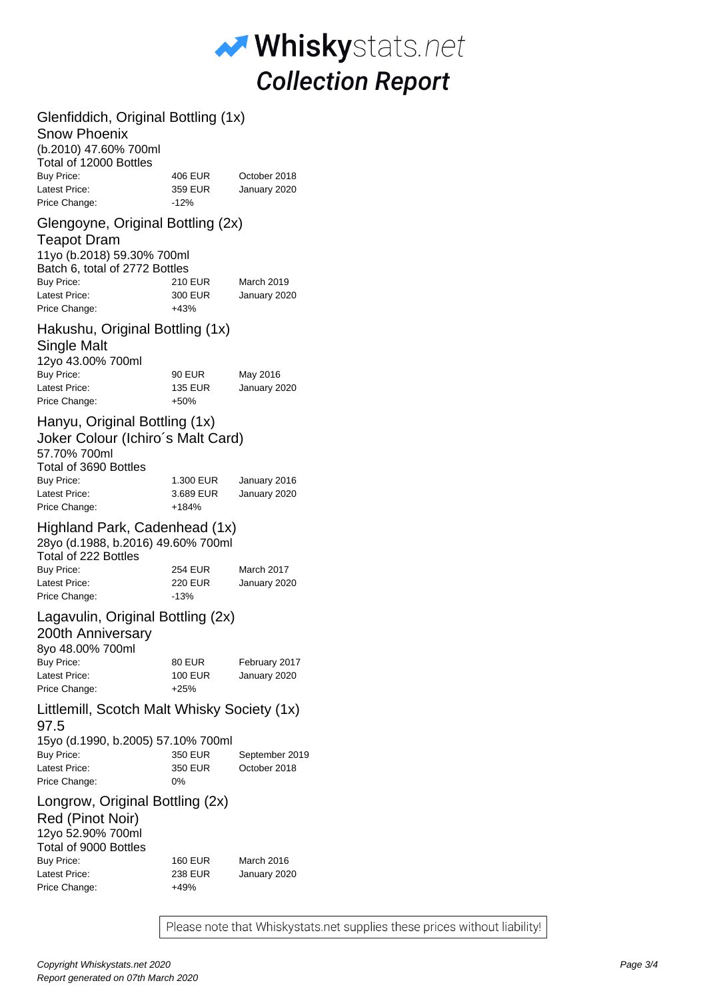

| Glenfiddich, Original Bottling (1x)<br><b>Snow Phoenix</b><br>(b.2010) 47.60% 700ml<br>Total of 12000 Bottles                                                                  |                                       |                                |
|--------------------------------------------------------------------------------------------------------------------------------------------------------------------------------|---------------------------------------|--------------------------------|
| Buy Price:<br>Latest Price:<br>Price Change:                                                                                                                                   | 406 EUR<br>359 EUR<br>$-12%$          | October 2018<br>January 2020   |
| Glengoyne, Original Bottling (2x)<br><b>Teapot Dram</b><br>11yo (b.2018) 59.30% 700ml<br>Batch 6, total of 2772 Bottles<br><b>Buy Price:</b><br>Latest Price:<br>Price Change: | 210 EUR<br>300 EUR<br>$+43%$          | March 2019<br>January 2020     |
| Hakushu, Original Bottling (1x)<br><b>Single Malt</b><br>12yo 43.00% 700ml<br><b>Buy Price:</b><br>Latest Price:                                                               | 90 EUR<br>135 EUR                     | May 2016<br>January 2020       |
| Price Change:                                                                                                                                                                  | $+50%$                                |                                |
| Hanyu, Original Bottling (1x)<br>Joker Colour (Ichiro's Malt Card)<br>57.70% 700ml<br>Total of 3690 Bottles<br><b>Buy Price:</b><br>Latest Price:                              | 1.300 EUR<br>3.689 EUR                | January 2016<br>January 2020   |
| Price Change:<br>Highland Park, Cadenhead (1x)<br>28yo (d.1988, b.2016) 49.60% 700ml<br>Total of 222 Bottles<br><b>Buy Price:</b><br>Latest Price:<br>Price Change:            | +184%<br>254 EUR<br>220 EUR<br>$-13%$ | March 2017<br>January 2020     |
| Lagavulin, Original Bottling (2x)<br>200th Anniversary<br>8yo 48.00% 700ml<br><b>Buy Price:</b><br>Latest Price:                                                               | 80 EUR<br>100 EUR                     | February 2017<br>January 2020  |
| Price Change:<br>Littlemill, Scotch Malt Whisky Society (1x)<br>97.5                                                                                                           | $+25%$                                |                                |
| 15yo (d.1990, b.2005) 57.10% 700ml<br><b>Buy Price:</b><br>Latest Price:<br>Price Change:                                                                                      | 350 EUR<br>350 EUR<br>0%              | September 2019<br>October 2018 |
| Longrow, Original Bottling (2x)<br>Red (Pinot Noir)<br>12yo 52.90% 700ml<br>Total of 9000 Bottles<br><b>Buy Price:</b>                                                         | 160 EUR                               | March 2016                     |
| Latest Price:<br>Price Change:                                                                                                                                                 | 238 EUR<br>+49%                       | January 2020                   |